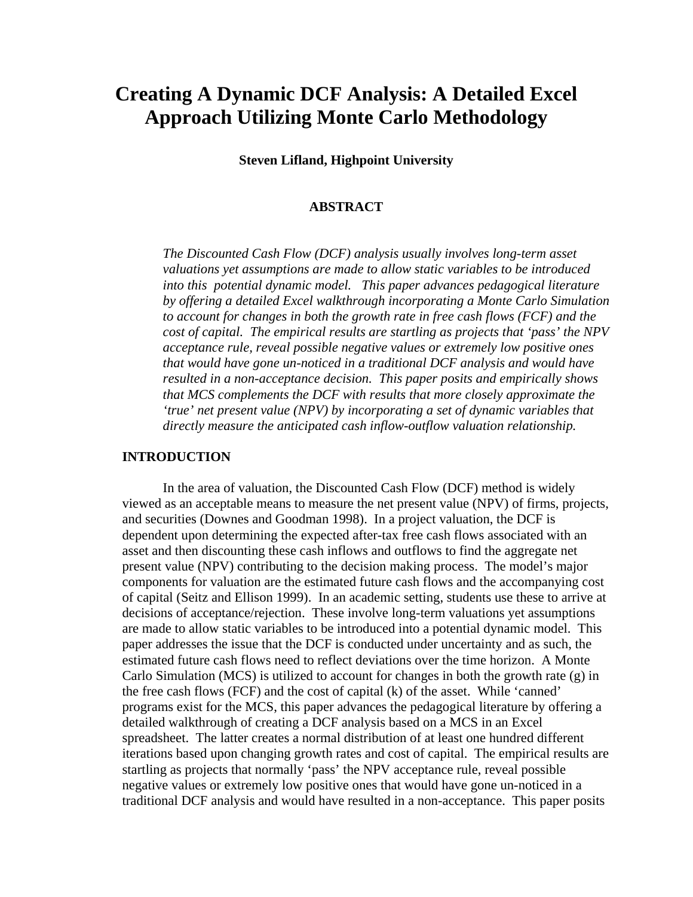# **Creating A Dynamic DCF Analysis: A Detailed Excel Approach Utilizing Monte Carlo Methodology**

**Steven Lifland, Highpoint University** 

#### **ABSTRACT**

*The Discounted Cash Flow (DCF) analysis usually involves long-term asset valuations yet assumptions are made to allow static variables to be introduced into this potential dynamic model. This paper advances pedagogical literature by offering a detailed Excel walkthrough incorporating a Monte Carlo Simulation to account for changes in both the growth rate in free cash flows (FCF) and the cost of capital. The empirical results are startling as projects that 'pass' the NPV acceptance rule, reveal possible negative values or extremely low positive ones that would have gone un-noticed in a traditional DCF analysis and would have resulted in a non-acceptance decision. This paper posits and empirically shows that MCS complements the DCF with results that more closely approximate the 'true' net present value (NPV) by incorporating a set of dynamic variables that directly measure the anticipated cash inflow-outflow valuation relationship.* 

### **INTRODUCTION**

In the area of valuation, the Discounted Cash Flow (DCF) method is widely viewed as an acceptable means to measure the net present value (NPV) of firms, projects, and securities (Downes and Goodman 1998). In a project valuation, the DCF is dependent upon determining the expected after-tax free cash flows associated with an asset and then discounting these cash inflows and outflows to find the aggregate net present value (NPV) contributing to the decision making process. The model's major components for valuation are the estimated future cash flows and the accompanying cost of capital (Seitz and Ellison 1999). In an academic setting, students use these to arrive at decisions of acceptance/rejection. These involve long-term valuations yet assumptions are made to allow static variables to be introduced into a potential dynamic model. This paper addresses the issue that the DCF is conducted under uncertainty and as such, the estimated future cash flows need to reflect deviations over the time horizon. A Monte Carlo Simulation (MCS) is utilized to account for changes in both the growth rate  $(g)$  in the free cash flows (FCF) and the cost of capital (k) of the asset. While 'canned' programs exist for the MCS, this paper advances the pedagogical literature by offering a detailed walkthrough of creating a DCF analysis based on a MCS in an Excel spreadsheet. The latter creates a normal distribution of at least one hundred different iterations based upon changing growth rates and cost of capital. The empirical results are startling as projects that normally 'pass' the NPV acceptance rule, reveal possible negative values or extremely low positive ones that would have gone un-noticed in a traditional DCF analysis and would have resulted in a non-acceptance. This paper posits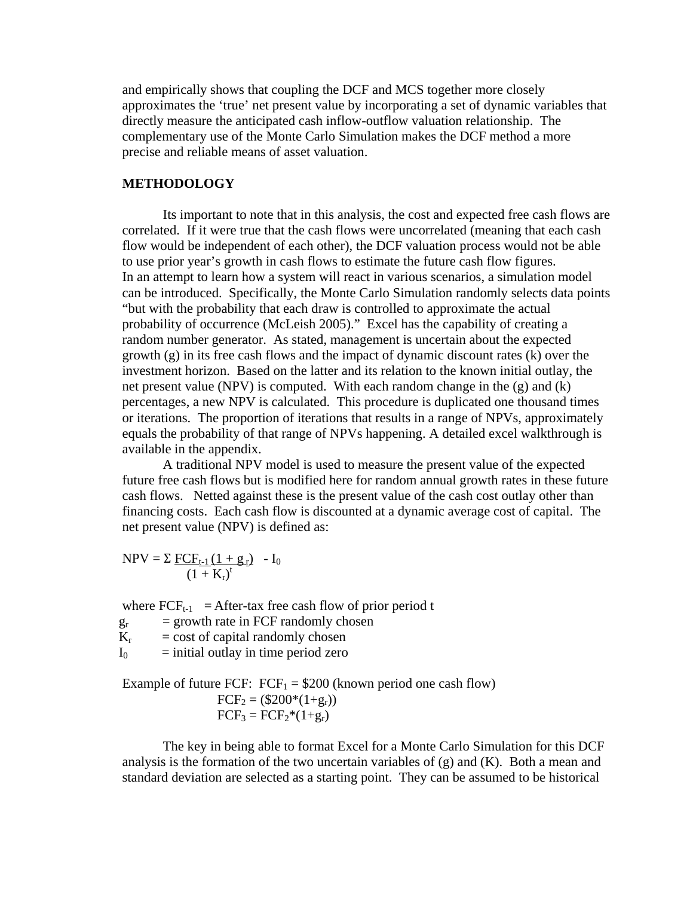and empirically shows that coupling the DCF and MCS together more closely approximates the 'true' net present value by incorporating a set of dynamic variables that directly measure the anticipated cash inflow-outflow valuation relationship. The complementary use of the Monte Carlo Simulation makes the DCF method a more precise and reliable means of asset valuation.

#### **METHODOLOGY**

Its important to note that in this analysis, the cost and expected free cash flows are correlated. If it were true that the cash flows were uncorrelated (meaning that each cash flow would be independent of each other), the DCF valuation process would not be able to use prior year's growth in cash flows to estimate the future cash flow figures. In an attempt to learn how a system will react in various scenarios, a simulation model can be introduced. Specifically, the Monte Carlo Simulation randomly selects data points "but with the probability that each draw is controlled to approximate the actual probability of occurrence (McLeish 2005)." Excel has the capability of creating a random number generator. As stated, management is uncertain about the expected growth (g) in its free cash flows and the impact of dynamic discount rates (k) over the investment horizon. Based on the latter and its relation to the known initial outlay, the net present value (NPV) is computed. With each random change in the (g) and (k) percentages, a new NPV is calculated. This procedure is duplicated one thousand times or iterations. The proportion of iterations that results in a range of NPVs, approximately equals the probability of that range of NPVs happening. A detailed excel walkthrough is available in the appendix.

A traditional NPV model is used to measure the present value of the expected future free cash flows but is modified here for random annual growth rates in these future cash flows. Netted against these is the present value of the cash cost outlay other than financing costs. Each cash flow is discounted at a dynamic average cost of capital. The net present value (NPV) is defined as:

 $NPV = \sum \underline{FCF_{t-1}(1 + g_r)} - I_0$  $(1 + K_r)^t$ 

where  $FCF_{t-1} = After-tax free cash flow of prior period t$ 

 $g_r$  = growth rate in FCF randomly chosen

- $K_r$  = cost of capital randomly chosen
- $I_0$  = initial outlay in time period zero

Example of future FCF:  $FCF_1 = $200$  (known period one cash flow)  $FCF_2 = (\$200*(1+g_r))$  $FCF_3 = FCF_2*(1+g_r)$ 

The key in being able to format Excel for a Monte Carlo Simulation for this DCF analysis is the formation of the two uncertain variables of  $(g)$  and  $(K)$ . Both a mean and standard deviation are selected as a starting point. They can be assumed to be historical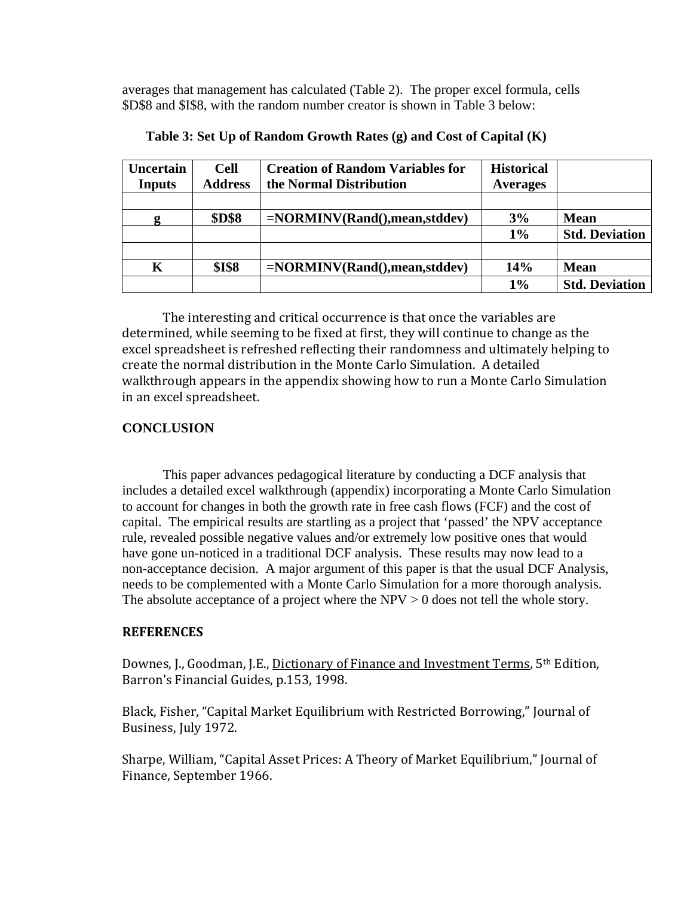averages that management has calculated (Table 2). The proper excel formula, cells \$D\$8 and \$I\$8, with the random number creator is shown in Table 3 below:

| <b>Uncertain</b> | <b>Cell</b>    | <b>Creation of Random Variables for</b> | <b>Historical</b> |                       |
|------------------|----------------|-----------------------------------------|-------------------|-----------------------|
| <b>Inputs</b>    | <b>Address</b> | the Normal Distribution                 | <b>Averages</b>   |                       |
|                  |                |                                         |                   |                       |
|                  | <b>\$D\$8</b>  | $=NORMINV(Rand(),mean,stddev)$          | 3%                | <b>Mean</b>           |
|                  |                |                                         | $1\%$             | <b>Std. Deviation</b> |
|                  |                |                                         |                   |                       |
| K                | <b>\$I\$8</b>  | $=NORMINV(Rand(),mean,stddev)$          | 14%               | <b>Mean</b>           |
|                  |                |                                         | $1\%$             | <b>Std. Deviation</b> |

**Table 3: Set Up of Random Growth Rates (g) and Cost of Capital (K)** 

The interesting and critical occurrence is that once the variables are determined, while seeming to be fixed at first, they will continue to change as the excel spreadsheet is refreshed reflecting their randomness and ultimately helping to create the normal distribution in the Monte Carlo Simulation. A detailed walkthrough appears in the appendix showing how to run a Monte Carlo Simulation in an excel spreadsheet.

## **CONCLUSION**

This paper advances pedagogical literature by conducting a DCF analysis that includes a detailed excel walkthrough (appendix) incorporating a Monte Carlo Simulation to account for changes in both the growth rate in free cash flows (FCF) and the cost of capital. The empirical results are startling as a project that 'passed' the NPV acceptance rule, revealed possible negative values and/or extremely low positive ones that would have gone un-noticed in a traditional DCF analysis. These results may now lead to a non-acceptance decision. A major argument of this paper is that the usual DCF Analysis, needs to be complemented with a Monte Carlo Simulation for a more thorough analysis. The absolute acceptance of a project where the NPV  $> 0$  does not tell the whole story.

## **REFERENCES**

Downes, J., Goodman, J.E., Dictionary of Finance and Investment Terms, 5<sup>th</sup> Edition. Barron's Financial Guides, p.153, 1998.

Black, Fisher, "Capital Market Equilibrium with Restricted Borrowing," Journal of Business, July 1972.

Sharpe, William, "Capital Asset Prices: A Theory of Market Equilibrium," Journal of Finance, September 1966.